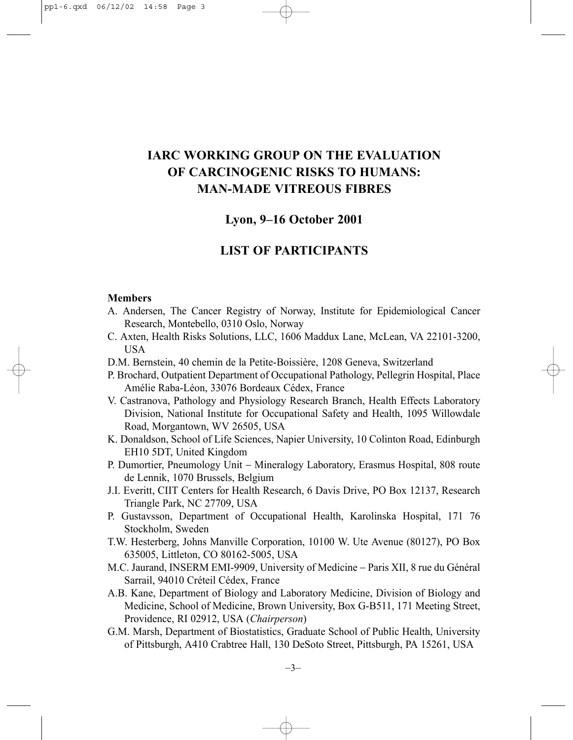# **IARC WORKING GROUP ON THE EVALUATION OF CARCINOGENIC RISKS TO HUMANS: MAN-MADE VITREOUS FIBRES**

# **Lyon, 9–16 October 2001**

# **LIST OF PARTICIPANTS**

#### **Members**

- A. Andersen, The Cancer Registry of Norway, Institute for Epidemiological Cancer Research, Montebello, 0310 Oslo, Norway
- C. Axten, Health Risks Solutions, LLC, 1606 Maddux Lane, McLean, VA 22101-3200, USA
- D.M. Bernstein, 40 chemin de la Petite-Boissière, 1208 Geneva, Switzerland
- P. Brochard, Outpatient Department of Occupational Pathology, Pellegrin Hospital, Place Amélie Raba-Léon, 33076 Bordeaux Cédex, France
- V. Castranova, Pathology and Physiology Research Branch, Health Effects Laboratory Division, National Institute for Occupational Safety and Health, 1095 Willowdale Road, Morgantown, WV 26505, USA
- K. Donaldson, School of Life Sciences, Napier University, 10 Colinton Road, Edinburgh EH10 5DT, United Kingdom
- P. Dumortier, Pneumology Unit − Mineralogy Laboratory, Erasmus Hospital, 808 route de Lennik, 1070 Brussels, Belgium
- J.I. Everitt, CIIT Centers for Health Research, 6 Davis Drive, PO Box 12137, Research Triangle Park, NC 27709, USA
- P. Gustavsson, Department of Occupational Health, Karolinska Hospital, 171 76 Stockholm, Sweden
- T.W. Hesterberg, Johns Manville Corporation, 10100 W. Ute Avenue (80127), PO Box 635005, Littleton, CO 80162-5005, USA
- M.C. Jaurand, INSERM EMI-9909, University of Medicine − Paris XII, 8 rue du Général Sarrail, 94010 Créteil Cédex, France
- A.B. Kane, Department of Biology and Laboratory Medicine, Division of Biology and Medicine, School of Medicine, Brown University, Box G-B511, 171 Meeting Street, Providence, RI 02912, USA (*Chairperson*)
- G.M. Marsh, Department of Biostatistics, Graduate School of Public Health, University of Pittsburgh, A410 Crabtree Hall, 130 DeSoto Street, Pittsburgh, PA 15261, USA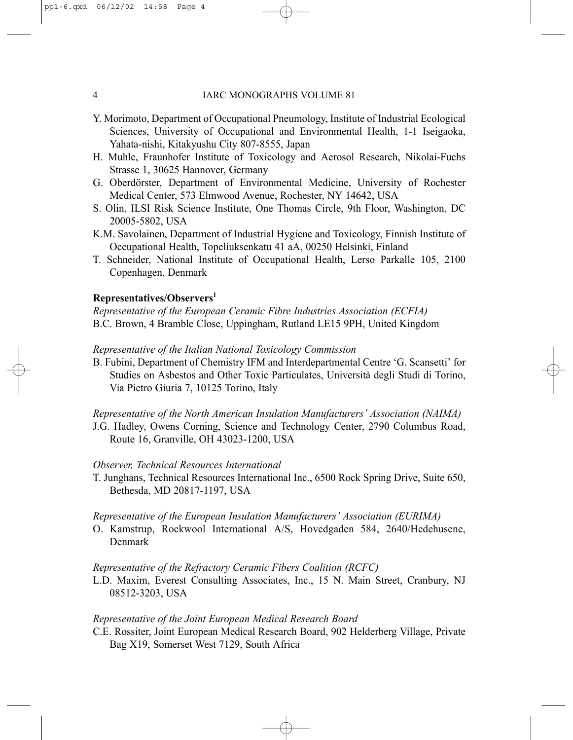- Y. Morimoto, Department of Occupational Pneumology, Institute of Industrial Ecological Sciences, University of Occupational and Environmental Health, 1-1 Iseigaoka, Yahata-nishi, Kitakyushu City 807-8555, Japan
- H. Muhle, Fraunhofer Institute of Toxicology and Aerosol Research, Nikolai-Fuchs Strasse 1, 30625 Hannover, Germany
- G. Oberdörster, Department of Environmental Medicine, University of Rochester Medical Center, 573 Elmwood Avenue, Rochester, NY 14642, USA
- S. Olin, ILSI Risk Science Institute, One Thomas Circle, 9th Floor, Washington, DC 20005-5802, USA
- K.M. Savolainen, Department of Industrial Hygiene and Toxicology, Finnish Institute of Occupational Health, Topeliuksenkatu 41 aA, 00250 Helsinki, Finland
- T. Schneider, National Institute of Occupational Health, Lerso Parkalle 105, 2100 Copenhagen, Denmark

## **Representatives/Observers1**

*Representative of the European Ceramic Fibre Industries Association (ECFIA)* B.C. Brown, 4 Bramble Close, Uppingham, Rutland LE15 9PH, United Kingdom

#### *Representative of the Italian National Toxicology Commission*

B. Fubini, Department of Chemistry IFM and Interdepartmental Centre 'G. Scansetti' for Studies on Asbestos and Other Toxic Particulates, Università degli Studi di Torino, Via Pietro Giuria 7, 10125 Torino, Italy

*Representative of the North American Insulation Manufacturers' Association (NAIMA)* J.G. Hadley, Owens Corning, Science and Technology Center, 2790 Columbus Road, Route 16, Granville, OH 43023-1200, USA

#### *Observer, Technical Resources International*

T. Junghans, Technical Resources International Inc., 6500 Rock Spring Drive, Suite 650, Bethesda, MD 20817-1197, USA

#### *Representative of the European Insulation Manufacturers' Association (EURIMA)*

O. Kamstrup, Rockwool International A/S, Hovedgaden 584, 2640/Hedehusene, Denmark

### *Representative of the Refractory Ceramic Fibers Coalition (RCFC)*

L.D. Maxim, Everest Consulting Associates, Inc., 15 N. Main Street, Cranbury, NJ 08512-3203, USA

# *Representative of the Joint European Medical Research Board*

C.E. Rossiter, Joint European Medical Research Board, 902 Helderberg Village, Private Bag X19, Somerset West 7129, South Africa